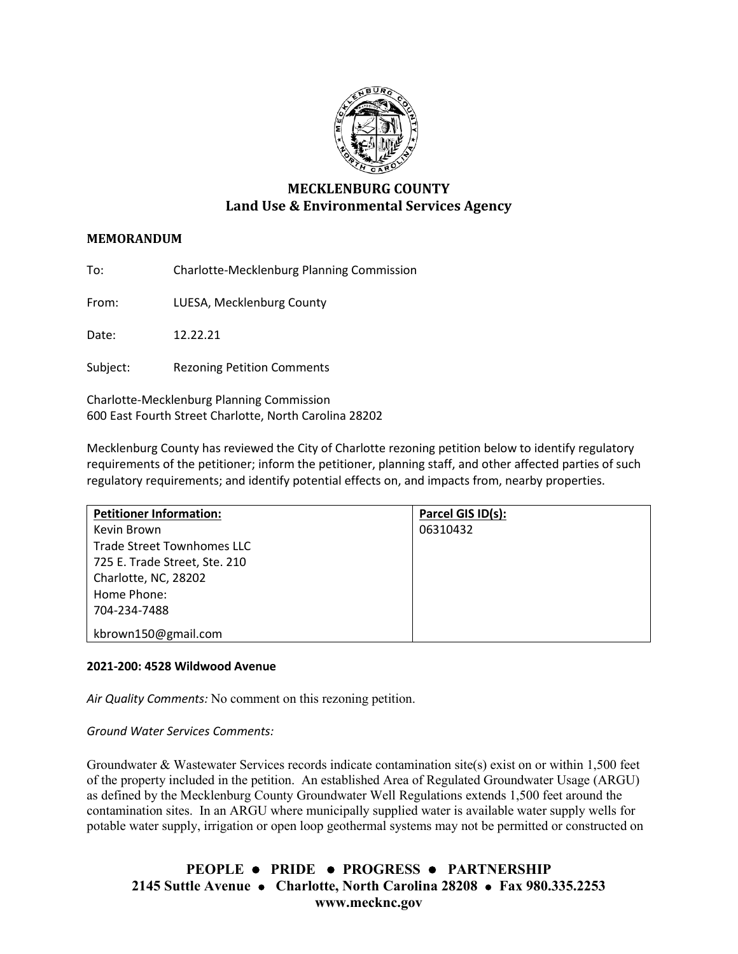

# **MECKLENBURG COUNTY Land Use & Environmental Services Agency**

## **MEMORANDUM**

To: Charlotte-Mecklenburg Planning Commission

From: LUESA, Mecklenburg County

Date: 12.22.21

Subject: Rezoning Petition Comments

Charlotte-Mecklenburg Planning Commission 600 East Fourth Street Charlotte, North Carolina 28202

Mecklenburg County has reviewed the City of Charlotte rezoning petition below to identify regulatory requirements of the petitioner; inform the petitioner, planning staff, and other affected parties of such regulatory requirements; and identify potential effects on, and impacts from, nearby properties.

| <b>Petitioner Information:</b> | Parcel GIS ID(s): |
|--------------------------------|-------------------|
| Kevin Brown                    | 06310432          |
| Trade Street Townhomes LLC     |                   |
| 725 E. Trade Street, Ste. 210  |                   |
| Charlotte, NC, 28202           |                   |
| Home Phone:                    |                   |
| 704-234-7488                   |                   |
| kbrown150@gmail.com            |                   |

### **2021-200: 4528 Wildwood Avenue**

*Air Quality Comments:* No comment on this rezoning petition.

*Ground Water Services Comments:* 

Groundwater & Wastewater Services records indicate contamination site(s) exist on or within 1,500 feet of the property included in the petition. An established Area of Regulated Groundwater Usage (ARGU) as defined by the Mecklenburg County Groundwater Well Regulations extends 1,500 feet around the contamination sites. In an ARGU where municipally supplied water is available water supply wells for potable water supply, irrigation or open loop geothermal systems may not be permitted or constructed on

**PEOPLE PRIDE PROGRESS PARTNERSHIP 2145 Suttle Avenue Charlotte, North Carolina 28208 Fax 980.335.2253 www.mecknc.gov**